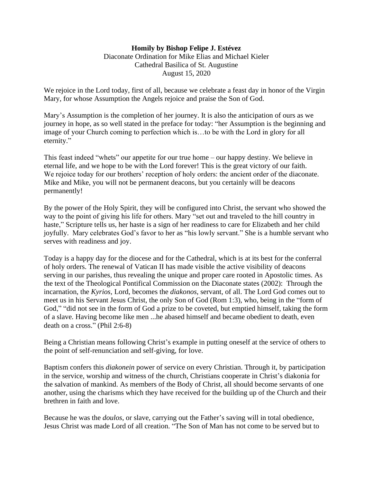## **Homily by Bishop Felipe J. Estévez**  Diaconate Ordination for Mike Elias and Michael Kieler Cathedral Basilica of St. Augustine August 15, 2020

We rejoice in the Lord today, first of all, because we celebrate a feast day in honor of the Virgin Mary, for whose Assumption the Angels rejoice and praise the Son of God.

Mary's Assumption is the completion of her journey. It is also the anticipation of ours as we journey in hope, as so well stated in the preface for today: "her Assumption is the beginning and image of your Church coming to perfection which is…to be with the Lord in glory for all eternity."

This feast indeed "whets" our appetite for our true home – our happy destiny. We believe in eternal life, and we hope to be with the Lord forever! This is the great victory of our faith. We rejoice today for our brothers' reception of holy orders: the ancient order of the diaconate. Mike and Mike, you will not be permanent deacons, but you certainly will be deacons permanently!

By the power of the Holy Spirit, they will be configured into Christ, the servant who showed the way to the point of giving his life for others. Mary "set out and traveled to the hill country in haste," Scripture tells us, her haste is a sign of her readiness to care for Elizabeth and her child joyfully. Mary celebrates God's favor to her as "his lowly servant." She is a humble servant who serves with readiness and joy.

Today is a happy day for the diocese and for the Cathedral, which is at its best for the conferral of holy orders. The renewal of Vatican II has made visible the active visibility of deacons serving in our parishes, thus revealing the unique and proper care rooted in Apostolic times. As the text of the Theological Pontifical Commission on the Diaconate states (2002): Through the incarnation, the *Kyrios,* Lord, becomes the *diakonos*, servant, of all. The Lord God comes out to meet us in his Servant Jesus Christ, the only Son of God (Rom 1:3), who, being in the "form of God," "did not see in the form of God a prize to be coveted, but emptied himself, taking the form of a slave. Having become like men ...he abased himself and became obedient to death, even death on a cross." (Phil 2:6-8)

Being a Christian means following Christ's example in putting oneself at the service of others to the point of self-renunciation and self-giving, for love.

Baptism confers this *diakonein* power of service on every Christian. Through it, by participation in the service, worship and witness of the church, Christians cooperate in Christ's diakonia for the salvation of mankind. As members of the Body of Christ, all should become servants of one another, using the charisms which they have received for the building up of the Church and their brethren in faith and love.

Because he was the *doulos*, or slave, carrying out the Father's saving will in total obedience, Jesus Christ was made Lord of all creation. "The Son of Man has not come to be served but to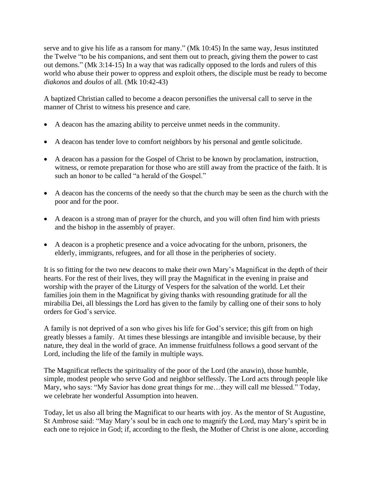serve and to give his life as a ransom for many." (Mk 10:45) In the same way, Jesus instituted the Twelve "to be his companions, and sent them out to preach, giving them the power to cast out demons." (Mk 3:14-15) In a way that was radically opposed to the lords and rulers of this world who abuse their power to oppress and exploit others, the disciple must be ready to become *diakonos* and *doulos* of all. (Mk 10:42-43)

A baptized Christian called to become a deacon personifies the universal call to serve in the manner of Christ to witness his presence and care.

- A deacon has the amazing ability to perceive unmet needs in the community.
- A deacon has tender love to comfort neighbors by his personal and gentle solicitude.
- A deacon has a passion for the Gospel of Christ to be known by proclamation, instruction, witness, or remote preparation for those who are still away from the practice of the faith. It is such an honor to be called "a herald of the Gospel."
- A deacon has the concerns of the needy so that the church may be seen as the church with the poor and for the poor.
- A deacon is a strong man of prayer for the church, and you will often find him with priests and the bishop in the assembly of prayer.
- A deacon is a prophetic presence and a voice advocating for the unborn, prisoners, the elderly, immigrants, refugees, and for all those in the peripheries of society.

It is so fitting for the two new deacons to make their own Mary's Magnificat in the depth of their hearts. For the rest of their lives, they will pray the Magnificat in the evening in praise and worship with the prayer of the Liturgy of Vespers for the salvation of the world. Let their families join them in the Magnificat by giving thanks with resounding gratitude for all the mirabilia Dei, all blessings the Lord has given to the family by calling one of their sons to holy orders for God's service.

A family is not deprived of a son who gives his life for God's service; this gift from on high greatly blesses a family. At times these blessings are intangible and invisible because, by their nature, they deal in the world of grace. An immense fruitfulness follows a good servant of the Lord, including the life of the family in multiple ways.

The Magnificat reflects the spirituality of the poor of the Lord (the anawin), those humble, simple, modest people who serve God and neighbor selflessly. The Lord acts through people like Mary, who says: "My Savior has done great things for me…they will call me blessed." Today, we celebrate her wonderful Assumption into heaven.

Today, let us also all bring the Magnificat to our hearts with joy. As the mentor of St Augustine, St Ambrose said: "May Mary's soul be in each one to magnify the Lord, may Mary's spirit be in each one to rejoice in God; if, according to the flesh, the Mother of Christ is one alone, according